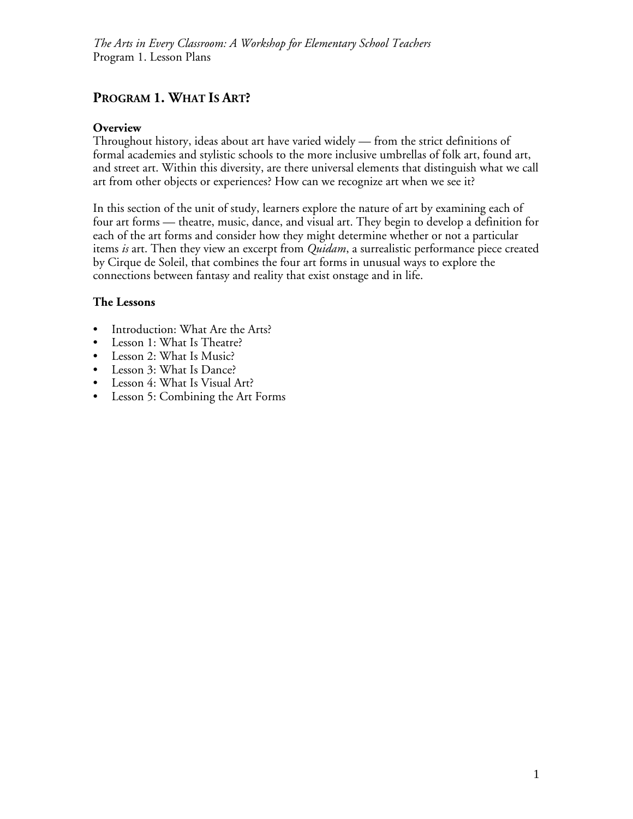# **PROGRAM 1. WHAT IS ART?**

## **Overview**

Throughout history, ideas about art have varied widely — from the strict definitions of formal academies and stylistic schools to the more inclusive umbrellas of folk art, found art, and street art. Within this diversity, are there universal elements that distinguish what we call art from other objects or experiences? How can we recognize art when we see it?

In this section of the unit of study, learners explore the nature of art by examining each of four art forms — theatre, music, dance, and visual art. They begin to develop a definition for each of the art forms and consider how they might determine whether or not a particular items *is* art. Then they view an excerpt from *Quidam*, a surrealistic performance piece created by Cirque de Soleil, that combines the four art forms in unusual ways to explore the connections between fantasy and reality that exist onstage and in life.

## **The Lessons**

- Introduction: What Are the Arts?
- Lesson 1: What Is Theatre?
- Lesson 2: What Is Music?
- Lesson 3: What Is Dance?
- Lesson 4: What Is Visual Art?
- Lesson 5: Combining the Art Forms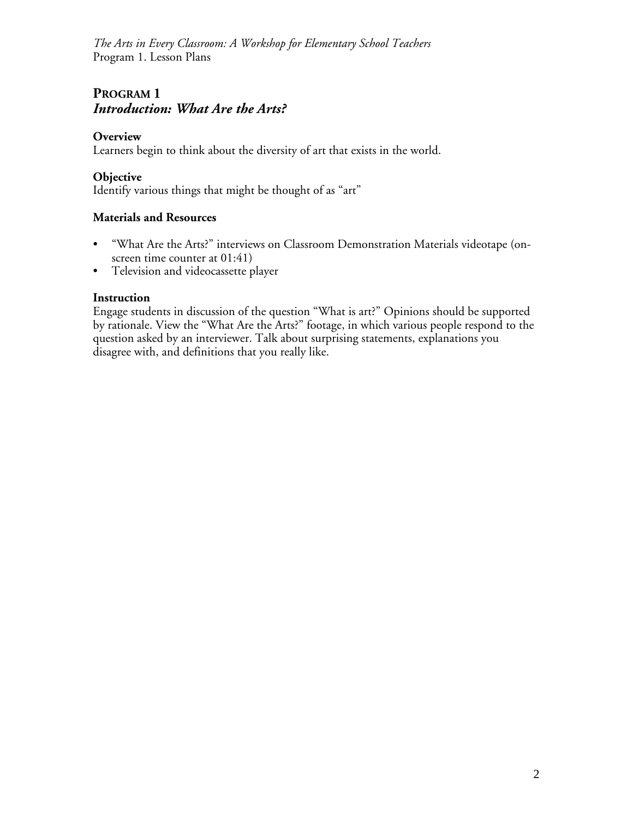# **PROGRAM 1** *Introduction: What Are the Arts?*

#### **Overview**

Learners begin to think about the diversity of art that exists in the world.

#### **Objective**

Identify various things that might be thought of as "art"

#### **Materials and Resources**

- "What Are the Arts?" interviews on Classroom Demonstration Materials videotape (onscreen time counter at  $01:41$ )
- Television and videocassette player

#### **Instruction**

Engage students in discussion of the question "What is art?" Opinions should be supported by rationale. View the "What Are the Arts?" footage, in which various people respond to the question asked by an interviewer. Talk about surprising statements, explanations you disagree with, and definitions that you really like.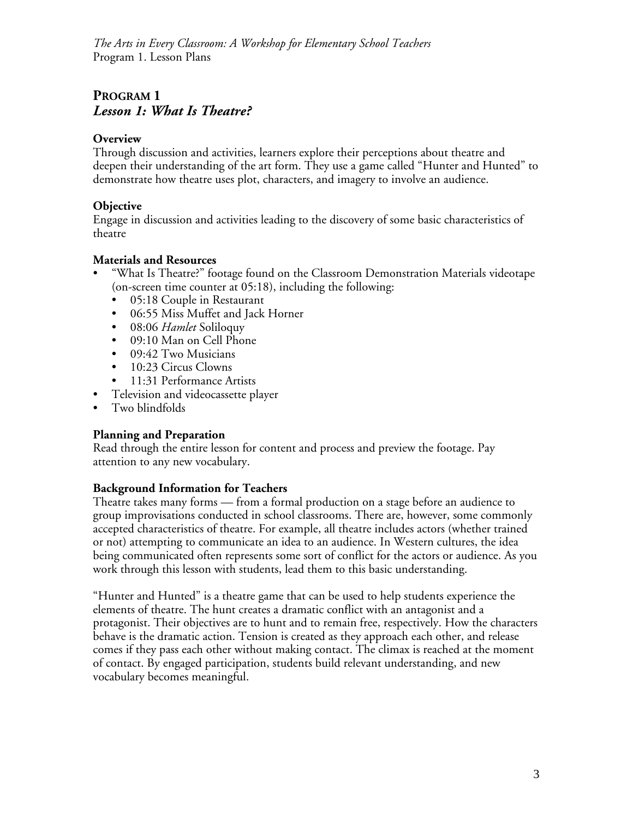# **PROGRAM 1** *Lesson 1: What Is Theatre?*

## **Overview**

Through discussion and activities, learners explore their perceptions about theatre and deepen their understanding of the art form. They use a game called "Hunter and Hunted" to demonstrate how theatre uses plot, characters, and imagery to involve an audience.

## **Objective**

Engage in discussion and activities leading to the discovery of some basic characteristics of theatre

## **Materials and Resources**

- "What Is Theatre?" footage found on the Classroom Demonstration Materials videotape (on-screen time counter at 05:18), including the following:
	- 05:18 Couple in Restaurant
	- 06:55 Miss Muffet and Jack Horner
	- 08:06 *Hamlet* Soliloquy
	- 09:10 Man on Cell Phone
	- 09:42 Two Musicians
	- 10:23 Circus Clowns
	- 11:31 Performance Artists
- Television and videocassette player
- Two blindfolds

## **Planning and Preparation**

Read through the entire lesson for content and process and preview the footage. Pay attention to any new vocabulary.

## **Background Information for Teachers**

Theatre takes many forms — from a formal production on a stage before an audience to group improvisations conducted in school classrooms. There are, however, some commonly accepted characteristics of theatre. For example, all theatre includes actors (whether trained or not) attempting to communicate an idea to an audience. In Western cultures, the idea being communicated often represents some sort of conflict for the actors or audience. As you work through this lesson with students, lead them to this basic understanding.

"Hunter and Hunted" is a theatre game that can be used to help students experience the elements of theatre. The hunt creates a dramatic conflict with an antagonist and a protagonist. Their objectives are to hunt and to remain free, respectively. How the characters behave is the dramatic action. Tension is created as they approach each other, and release comes if they pass each other without making contact. The climax is reached at the moment of contact. By engaged participation, students build relevant understanding, and new vocabulary becomes meaningful.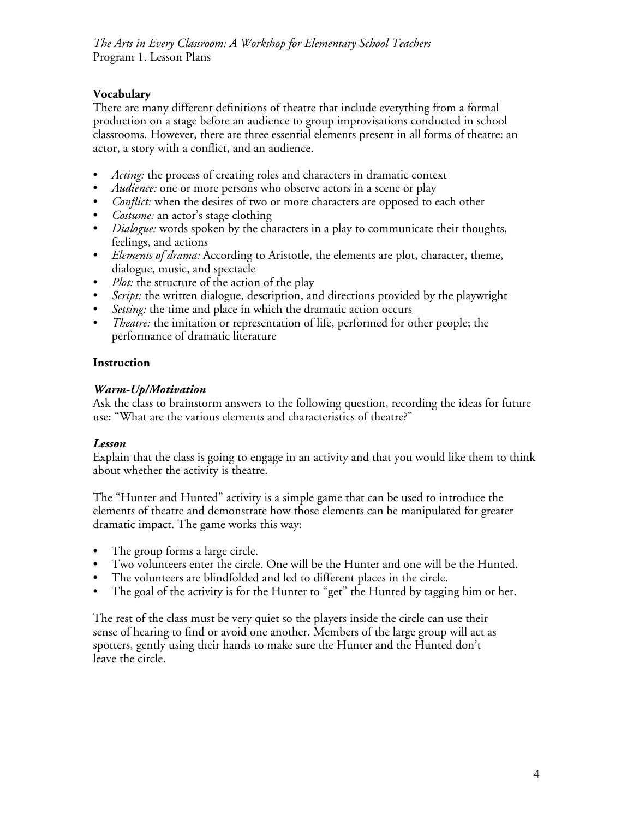## **Vocabulary**

There are many different definitions of theatre that include everything from a formal production on a stage before an audience to group improvisations conducted in school classrooms. However, there are three essential elements present in all forms of theatre: an actor, a story with a conflict, and an audience.

- *Acting:* the process of creating roles and characters in dramatic context
- *Audience:* one or more persons who observe actors in a scene or play
- *Conflict:* when the desires of two or more characters are opposed to each other
- *Costume:* an actor's stage clothing
- *Dialogue:* words spoken by the characters in a play to communicate their thoughts, feelings, and actions
- *Elements of drama:* According to Aristotle, the elements are plot, character, theme, dialogue, music, and spectacle
- *Plot:* the structure of the action of the play
- *Script:* the written dialogue, description, and directions provided by the playwright
- *Setting:* the time and place in which the dramatic action occurs
- *Theatre:* the imitation or representation of life, performed for other people; the performance of dramatic literature

#### **Instruction**

#### *Warm-Up/Motivation*

Ask the class to brainstorm answers to the following question, recording the ideas for future use: "What are the various elements and characteristics of theatre?"

## *Lesson*

Explain that the class is going to engage in an activity and that you would like them to think about whether the activity is theatre.

The "Hunter and Hunted" activity is a simple game that can be used to introduce the elements of theatre and demonstrate how those elements can be manipulated for greater dramatic impact. The game works this way:

- The group forms a large circle.
- Two volunteers enter the circle. One will be the Hunter and one will be the Hunted.
- The volunteers are blindfolded and led to different places in the circle.
- The goal of the activity is for the Hunter to "get" the Hunted by tagging him or her.

The rest of the class must be very quiet so the players inside the circle can use their sense of hearing to find or avoid one another. Members of the large group will act as spotters, gently using their hands to make sure the Hunter and the Hunted don't leave the circle.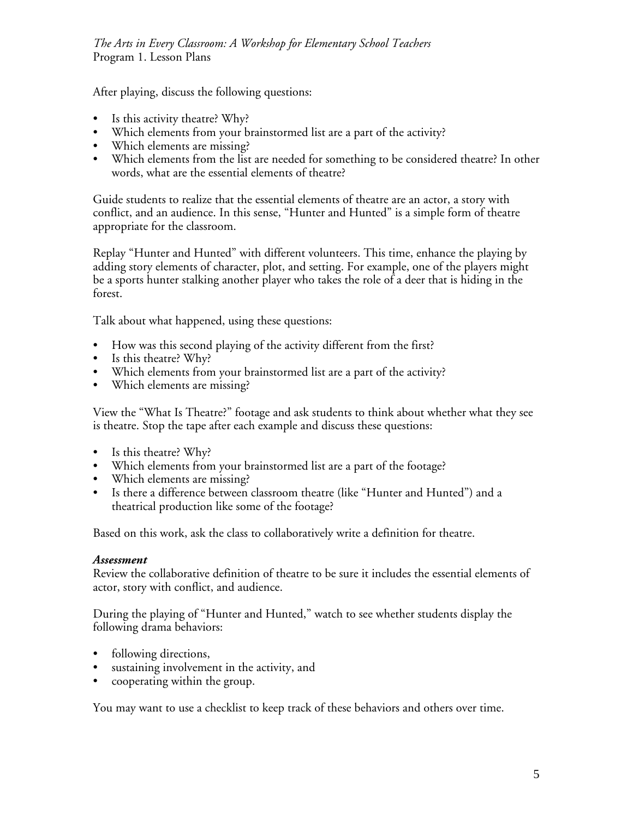After playing, discuss the following questions:

- Is this activity theatre? Why?
- Which elements from your brainstormed list are a part of the activity?
- Which elements are missing?
- Which elements from the list are needed for something to be considered theatre? In other words, what are the essential elements of theatre?

Guide students to realize that the essential elements of theatre are an actor, a story with conflict, and an audience. In this sense, "Hunter and Hunted" is a simple form of theatre appropriate for the classroom.

Replay "Hunter and Hunted" with different volunteers. This time, enhance the playing by adding story elements of character, plot, and setting. For example, one of the players might be a sports hunter stalking another player who takes the role of a deer that is hiding in the forest.

Talk about what happened, using these questions:

- How was this second playing of the activity different from the first?
- Is this theatre? Why?
- Which elements from your brainstormed list are a part of the activity?
- Which elements are missing?

View the "What Is Theatre?" footage and ask students to think about whether what they see is theatre. Stop the tape after each example and discuss these questions:

- Is this theatre? Why?
- Which elements from your brainstormed list are a part of the footage?
- Which elements are missing?
- Is there a difference between classroom theatre (like "Hunter and Hunted") and a theatrical production like some of the footage?

Based on this work, ask the class to collaboratively write a definition for theatre.

## *Assessment*

Review the collaborative definition of theatre to be sure it includes the essential elements of actor, story with conflict, and audience.

During the playing of "Hunter and Hunted," watch to see whether students display the following drama behaviors:

- following directions,
- sustaining involvement in the activity, and
- cooperating within the group.

You may want to use a checklist to keep track of these behaviors and others over time.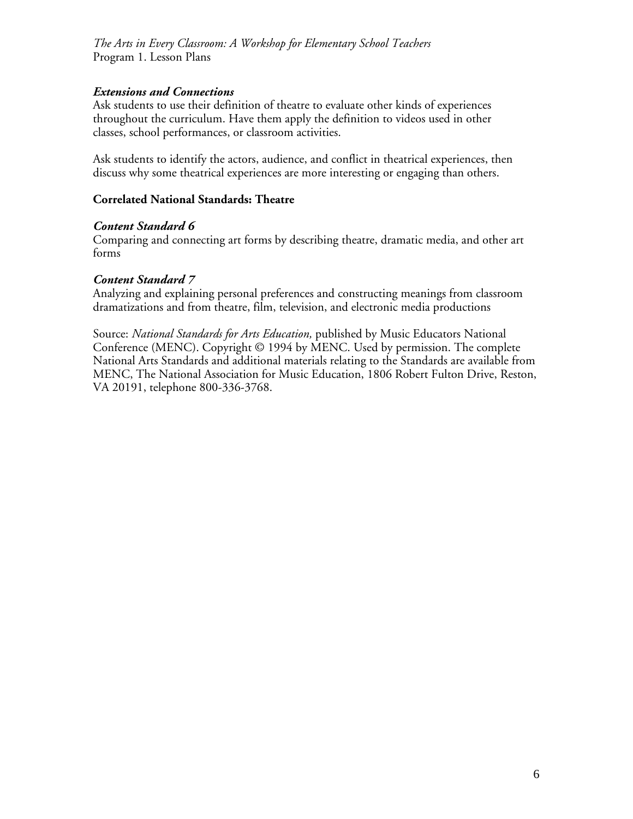#### *Extensions and Connections*

Ask students to use their definition of theatre to evaluate other kinds of experiences throughout the curriculum. Have them apply the definition to videos used in other classes, school performances, or classroom activities.

Ask students to identify the actors, audience, and conflict in theatrical experiences, then discuss why some theatrical experiences are more interesting or engaging than others.

#### **Correlated National Standards: Theatre**

#### *Content Standard 6*

Comparing and connecting art forms by describing theatre, dramatic media, and other art forms

#### *Content Standard 7*

Analyzing and explaining personal preferences and constructing meanings from classroom dramatizations and from theatre, film, television, and electronic media productions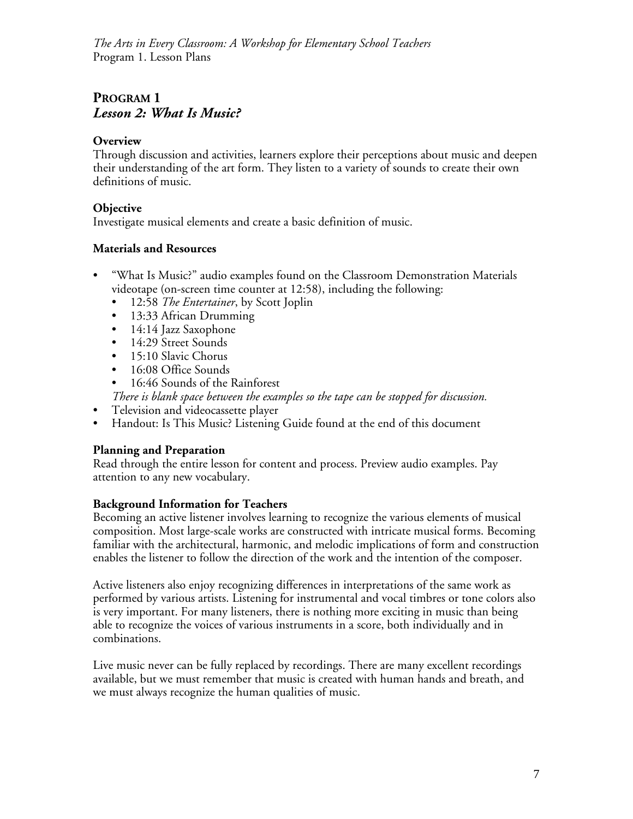# **PROGRAM 1** *Lesson 2: What Is Music?*

## **Overview**

Through discussion and activities, learners explore their perceptions about music and deepen their understanding of the art form. They listen to a variety of sounds to create their own definitions of music.

## **Objective**

Investigate musical elements and create a basic definition of music.

## **Materials and Resources**

- "What Is Music?" audio examples found on the Classroom Demonstration Materials videotape (on-screen time counter at 12:58), including the following:
	- 12:58 *The Entertainer*, by Scott Joplin
	- 13:33 African Drumming
	- 14:14 Jazz Saxophone
	- 14:29 Street Sounds
	- 15:10 Slavic Chorus
	- 16:08 Office Sounds
	- 16:46 Sounds of the Rainforest

*There is blank space between the examples so the tape can be stopped for discussion.*

- Television and videocassette player
- Handout: Is This Music? Listening Guide found at the end of this document

## **Planning and Preparation**

Read through the entire lesson for content and process. Preview audio examples. Pay attention to any new vocabulary.

## **Background Information for Teachers**

Becoming an active listener involves learning to recognize the various elements of musical composition. Most large-scale works are constructed with intricate musical forms. Becoming familiar with the architectural, harmonic, and melodic implications of form and construction enables the listener to follow the direction of the work and the intention of the composer.

Active listeners also enjoy recognizing differences in interpretations of the same work as performed by various artists. Listening for instrumental and vocal timbres or tone colors also is very important. For many listeners, there is nothing more exciting in music than being able to recognize the voices of various instruments in a score, both individually and in combinations.

Live music never can be fully replaced by recordings. There are many excellent recordings available, but we must remember that music is created with human hands and breath, and we must always recognize the human qualities of music.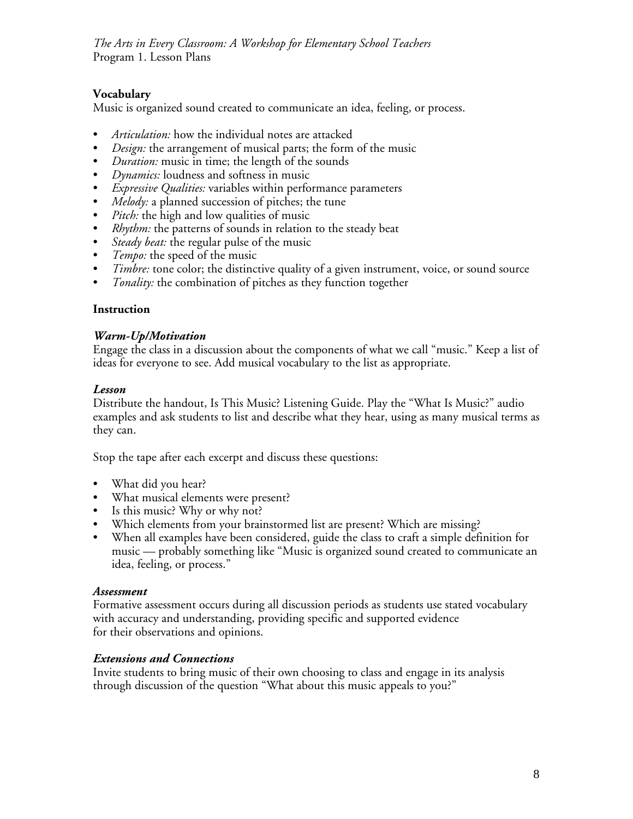## **Vocabulary**

Music is organized sound created to communicate an idea, feeling, or process.

- *Articulation:* how the individual notes are attacked
- *Design:* the arrangement of musical parts; the form of the music
- *Duration:* music in time; the length of the sounds
- *Dynamics:* loudness and softness in music
- *Expressive Qualities:* variables within performance parameters
- *Melody:* a planned succession of pitches; the tune
- *Pitch:* the high and low qualities of music
- *Rhythm:* the patterns of sounds in relation to the steady beat
- *Steady beat:* the regular pulse of the music<br>• *Tempo:* the speed of the music
- *Tempo:* the speed of the music
- *Timbre:* tone color; the distinctive quality of a given instrument, voice, or sound source
- *Tonality:* the combination of pitches as they function together

#### **Instruction**

#### *Warm-Up/Motivation*

Engage the class in a discussion about the components of what we call "music." Keep a list of ideas for everyone to see. Add musical vocabulary to the list as appropriate.

#### *Lesson*

Distribute the handout, Is This Music? Listening Guide. Play the "What Is Music?" audio examples and ask students to list and describe what they hear, using as many musical terms as they can.

Stop the tape after each excerpt and discuss these questions:

- What did you hear?
- What musical elements were present?
- Is this music? Why or why not?
- Which elements from your brainstormed list are present? Which are missing?
- When all examples have been considered, guide the class to craft a simple definition for music — probably something like "Music is organized sound created to communicate an idea, feeling, or process."

#### *Assessment*

Formative assessment occurs during all discussion periods as students use stated vocabulary with accuracy and understanding, providing specific and supported evidence for their observations and opinions.

#### *Extensions and Connections*

Invite students to bring music of their own choosing to class and engage in its analysis through discussion of the question "What about this music appeals to you?"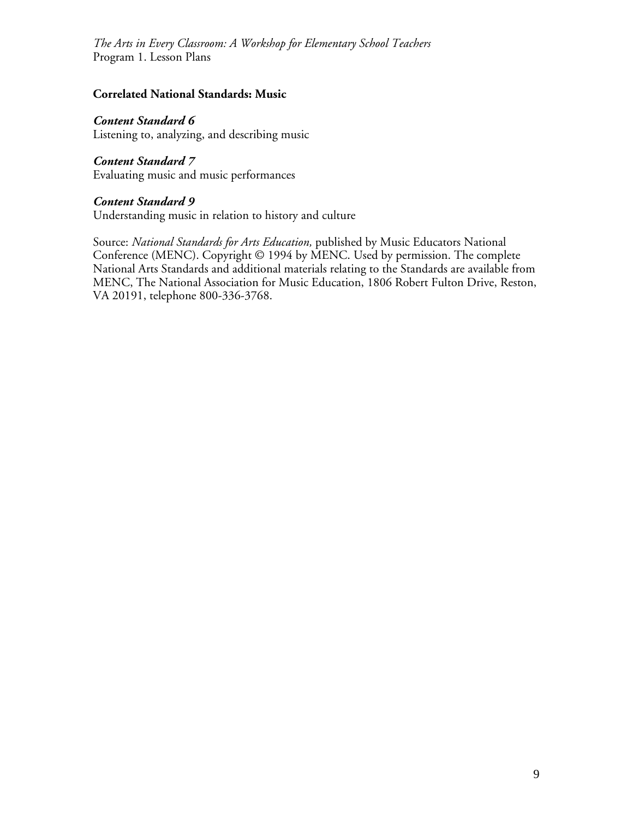## **Correlated National Standards: Music**

#### *Content Standard 6*

Listening to, analyzing, and describing music

#### *Content Standard 7*

Evaluating music and music performances

#### *Content Standard 9*

Understanding music in relation to history and culture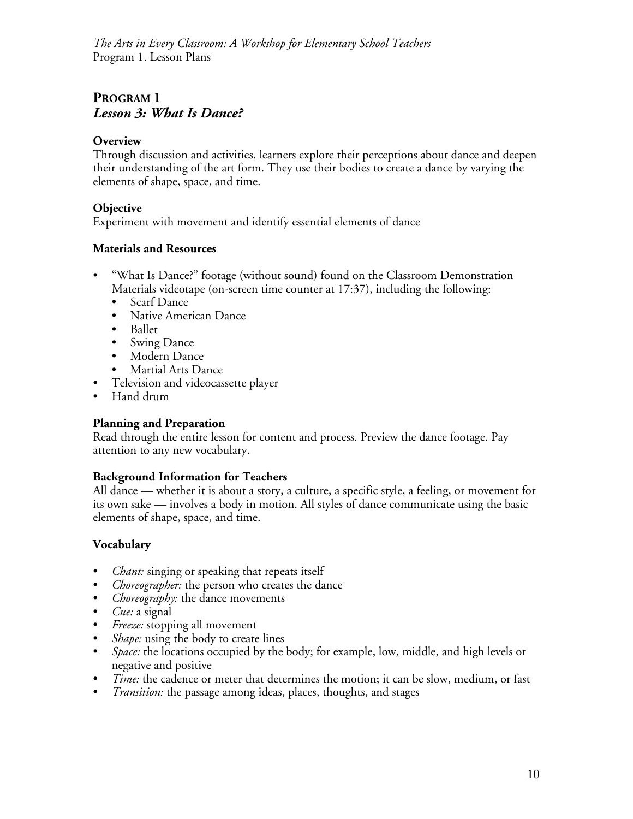# **PROGRAM 1** *Lesson 3: What Is Dance?*

## **Overview**

Through discussion and activities, learners explore their perceptions about dance and deepen their understanding of the art form. They use their bodies to create a dance by varying the elements of shape, space, and time.

## **Objective**

Experiment with movement and identify essential elements of dance

## **Materials and Resources**

- "What Is Dance?" footage (without sound) found on the Classroom Demonstration Materials videotape (on-screen time counter at 17:37), including the following:
	- Scarf Dance
	- Native American Dance
	- Ballet
	- Swing Dance
	- Modern Dance
	- Martial Arts Dance
- Television and videocassette player
- Hand drum

## **Planning and Preparation**

Read through the entire lesson for content and process. Preview the dance footage. Pay attention to any new vocabulary.

## **Background Information for Teachers**

All dance — whether it is about a story, a culture, a specific style, a feeling, or movement for its own sake — involves a body in motion. All styles of dance communicate using the basic elements of shape, space, and time.

## **Vocabulary**

- *Chant:* singing or speaking that repeats itself
- *Choreographer:* the person who creates the dance
- *Choreography:* the dance movements
- *Cue:* a signal
- *Freeze:* stopping all movement
- *Shape:* using the body to create lines
- *Space:* the locations occupied by the body; for example, low, middle, and high levels or negative and positive
- *Time:* the cadence or meter that determines the motion; it can be slow, medium, or fast
- *Transition:* the passage among ideas, places, thoughts, and stages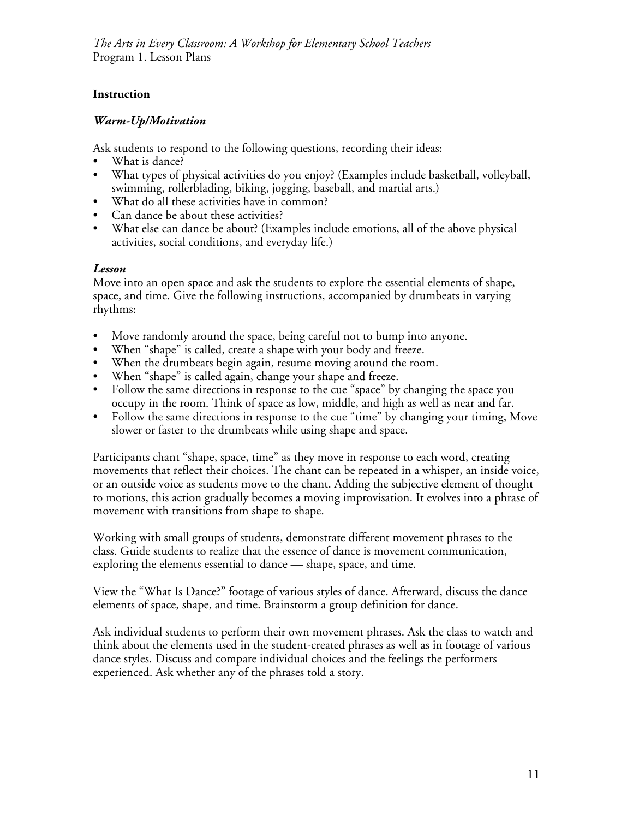## **Instruction**

## *Warm-Up/Motivation*

Ask students to respond to the following questions, recording their ideas:

- What is dance?
- What types of physical activities do you enjoy? (Examples include basketball, volleyball, swimming, rollerblading, biking, jogging, baseball, and martial arts.)
- What do all these activities have in common?
- Can dance be about these activities?
- What else can dance be about? (Examples include emotions, all of the above physical activities, social conditions, and everyday life.)

## *Lesson*

Move into an open space and ask the students to explore the essential elements of shape, space, and time. Give the following instructions, accompanied by drumbeats in varying rhythms:

- Move randomly around the space, being careful not to bump into anyone.
- When "shape" is called, create a shape with your body and freeze.
- When the drumbeats begin again, resume moving around the room.
- When "shape" is called again, change your shape and freeze.
- Follow the same directions in response to the cue "space" by changing the space you occupy in the room. Think of space as low, middle, and high as well as near and far.
- Follow the same directions in response to the cue "time" by changing your timing, Move slower or faster to the drumbeats while using shape and space.

Participants chant "shape, space, time" as they move in response to each word, creating movements that reflect their choices. The chant can be repeated in a whisper, an inside voice, or an outside voice as students move to the chant. Adding the subjective element of thought to motions, this action gradually becomes a moving improvisation. It evolves into a phrase of movement with transitions from shape to shape.

Working with small groups of students, demonstrate different movement phrases to the class. Guide students to realize that the essence of dance is movement communication, exploring the elements essential to dance — shape, space, and time.

View the "What Is Dance?" footage of various styles of dance. Afterward, discuss the dance elements of space, shape, and time. Brainstorm a group definition for dance.

Ask individual students to perform their own movement phrases. Ask the class to watch and think about the elements used in the student-created phrases as well as in footage of various dance styles. Discuss and compare individual choices and the feelings the performers experienced. Ask whether any of the phrases told a story.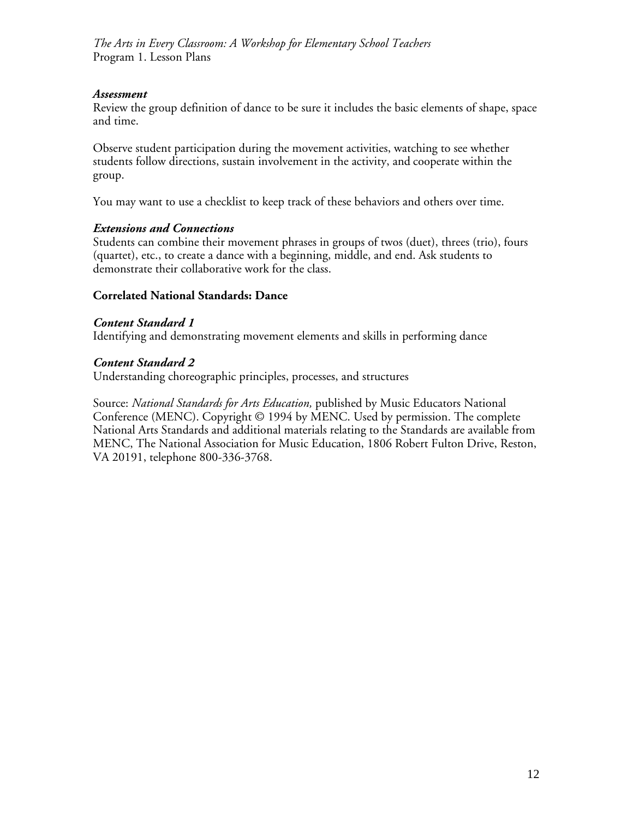#### *Assessment*

Review the group definition of dance to be sure it includes the basic elements of shape, space and time.

Observe student participation during the movement activities, watching to see whether students follow directions, sustain involvement in the activity, and cooperate within the group.

You may want to use a checklist to keep track of these behaviors and others over time.

## *Extensions and Connections*

Students can combine their movement phrases in groups of twos (duet), threes (trio), fours (quartet), etc., to create a dance with a beginning, middle, and end. Ask students to demonstrate their collaborative work for the class.

#### **Correlated National Standards: Dance**

## *Content Standard 1*

Identifying and demonstrating movement elements and skills in performing dance

#### *Content Standard 2*

Understanding choreographic principles, processes, and structures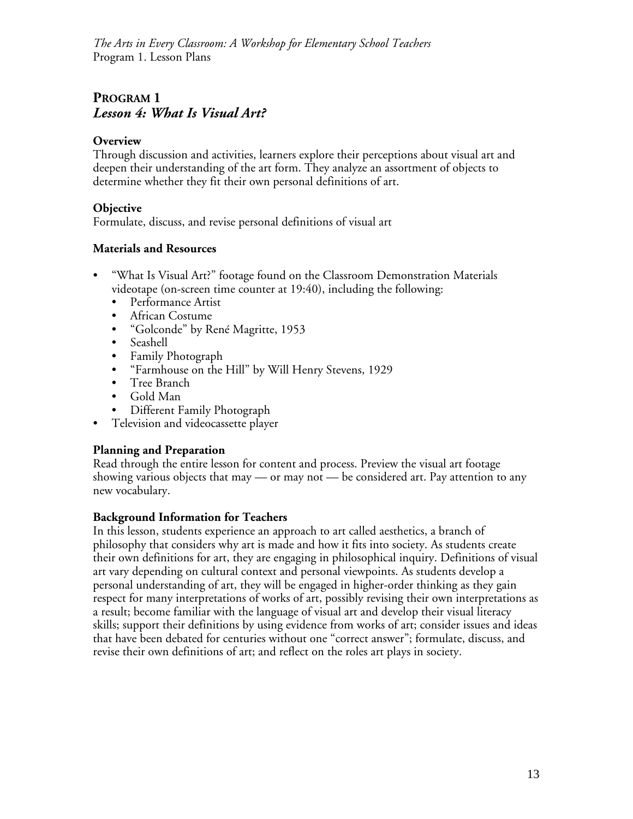# **PROGRAM 1** *Lesson 4: What Is Visual Art?*

## **Overview**

Through discussion and activities, learners explore their perceptions about visual art and deepen their understanding of the art form. They analyze an assortment of objects to determine whether they fit their own personal definitions of art.

## **Objective**

Formulate, discuss, and revise personal definitions of visual art

## **Materials and Resources**

- "What Is Visual Art?" footage found on the Classroom Demonstration Materials videotape (on-screen time counter at 19:40), including the following:
	- Performance Artist
	- African Costume
	- "Golconde" by René Magritte, 1953
	- Seashell
	- Family Photograph
	- "Farmhouse on the Hill" by Will Henry Stevens, 1929
	- Tree Branch
	- Gold Man
	- Different Family Photograph
- Television and videocassette player

## **Planning and Preparation**

Read through the entire lesson for content and process. Preview the visual art footage showing various objects that may — or may not — be considered art. Pay attention to any new vocabulary.

## **Background Information for Teachers**

In this lesson, students experience an approach to art called aesthetics, a branch of philosophy that considers why art is made and how it fits into society. As students create their own definitions for art, they are engaging in philosophical inquiry. Definitions of visual art vary depending on cultural context and personal viewpoints. As students develop a personal understanding of art, they will be engaged in higher-order thinking as they gain respect for many interpretations of works of art, possibly revising their own interpretations as a result; become familiar with the language of visual art and develop their visual literacy skills; support their definitions by using evidence from works of art; consider issues and ideas that have been debated for centuries without one "correct answer"; formulate, discuss, and revise their own definitions of art; and reflect on the roles art plays in society.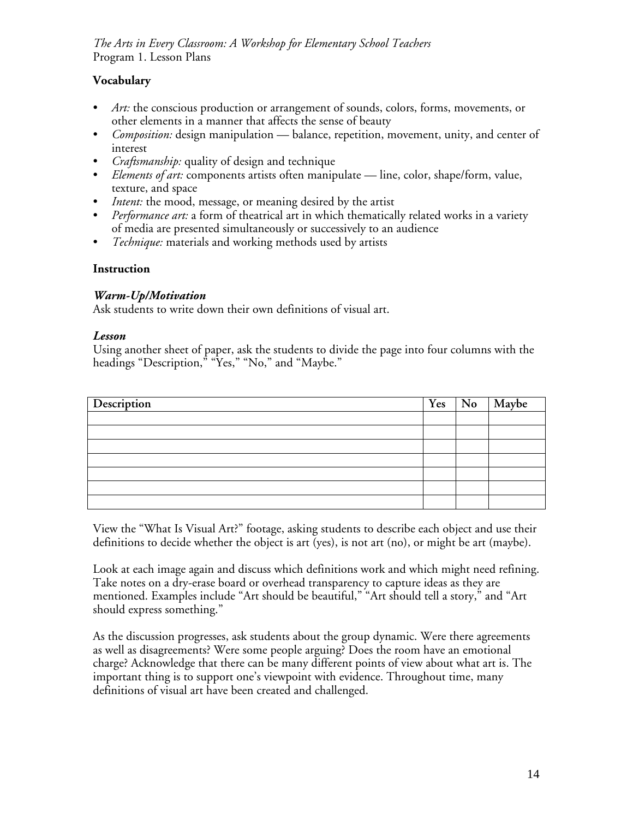## **Vocabulary**

- *Art:* the conscious production or arrangement of sounds, colors, forms, movements, or other elements in a manner that affects the sense of beauty
- *Composition:* design manipulation balance, repetition, movement, unity, and center of interest
- *Craftsmanship:* quality of design and technique
- *Elements of art:* components artists often manipulate line, color, shape/form, value, texture, and space
- *Intent:* the mood, message, or meaning desired by the artist
- *Performance art:* a form of theatrical art in which thematically related works in a variety of media are presented simultaneously or successively to an audience
- *Technique:* materials and working methods used by artists

## **Instruction**

## *Warm-Up/Motivation*

Ask students to write down their own definitions of visual art.

## *Lesson*

Using another sheet of paper, ask the students to divide the page into four columns with the headings "Description," "Yes," "No," and "Maybe."

| Description |  | Yes   No   Maybe |
|-------------|--|------------------|
|             |  |                  |
|             |  |                  |
|             |  |                  |
|             |  |                  |
|             |  |                  |
|             |  |                  |
|             |  |                  |

View the "What Is Visual Art?" footage, asking students to describe each object and use their definitions to decide whether the object is art (yes), is not art (no), or might be art (maybe).

Look at each image again and discuss which definitions work and which might need refining. Take notes on a dry-erase board or overhead transparency to capture ideas as they are mentioned. Examples include "Art should be beautiful," "Art should tell a story," and "Art should express something."

As the discussion progresses, ask students about the group dynamic. Were there agreements as well as disagreements? Were some people arguing? Does the room have an emotional charge? Acknowledge that there can be many different points of view about what art is. The important thing is to support one's viewpoint with evidence. Throughout time, many definitions of visual art have been created and challenged.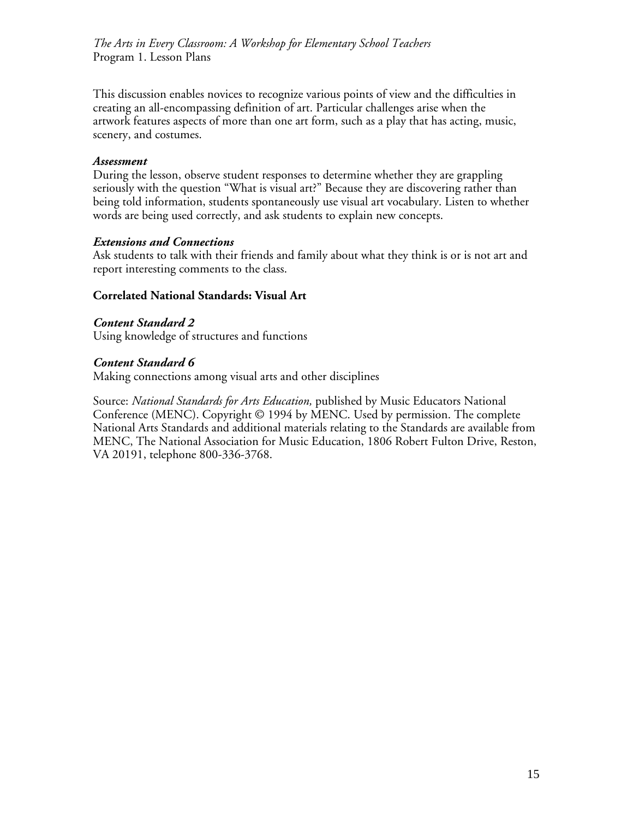This discussion enables novices to recognize various points of view and the difficulties in creating an all-encompassing definition of art. Particular challenges arise when the artwork features aspects of more than one art form, such as a play that has acting, music, scenery, and costumes.

#### *Assessment*

During the lesson, observe student responses to determine whether they are grappling seriously with the question "What is visual art?" Because they are discovering rather than being told information, students spontaneously use visual art vocabulary. Listen to whether words are being used correctly, and ask students to explain new concepts.

#### *Extensions and Connections*

Ask students to talk with their friends and family about what they think is or is not art and report interesting comments to the class.

#### **Correlated National Standards: Visual Art**

*Content Standard 2* Using knowledge of structures and functions

#### *Content Standard 6*

Making connections among visual arts and other disciplines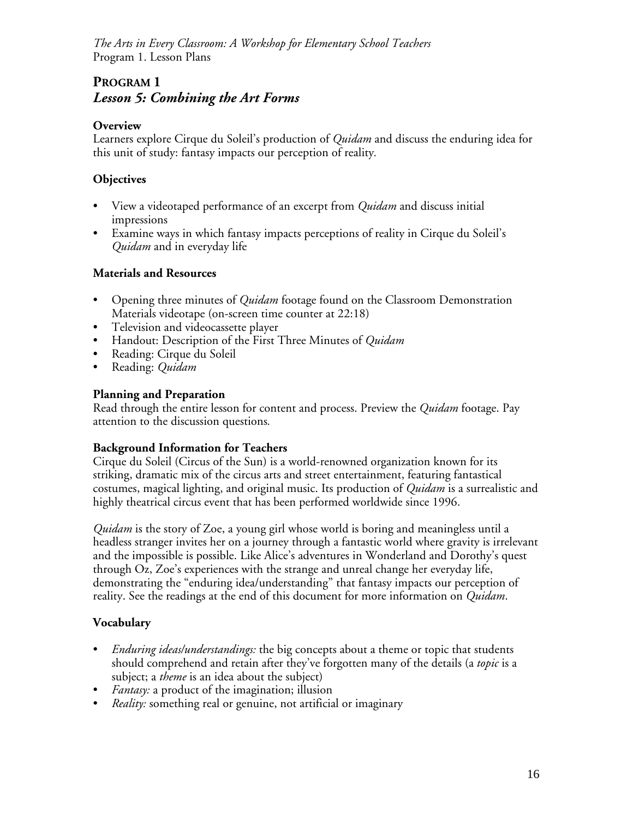# **PROGRAM 1** *Lesson 5: Combining the Art Forms*

#### **Overview**

Learners explore Cirque du Soleil's production of *Quidam* and discuss the enduring idea for this unit of study: fantasy impacts our perception of reality*.*

#### **Objectives**

- View a videotaped performance of an excerpt from *Quidam* and discuss initial impressions
- Examine ways in which fantasy impacts perceptions of reality in Cirque du Soleil's *Quidam* and in everyday life

#### **Materials and Resources**

- Opening three minutes of *Quidam* footage found on the Classroom Demonstration Materials videotape (on-screen time counter at 22:18)
- Television and videocassette player
- Handout: Description of the First Three Minutes of *Quidam*
- Reading: Cirque du Soleil
- Reading: *Quidam*

#### **Planning and Preparation**

Read through the entire lesson for content and process. Preview the *Quidam* footage. Pay attention to the discussion questions*.*

#### **Background Information for Teachers**

Cirque du Soleil (Circus of the Sun) is a world-renowned organization known for its striking, dramatic mix of the circus arts and street entertainment, featuring fantastical costumes, magical lighting, and original music. Its production of *Quidam* is a surrealistic and highly theatrical circus event that has been performed worldwide since 1996.

*Quidam* is the story of Zoe, a young girl whose world is boring and meaningless until a headless stranger invites her on a journey through a fantastic world where gravity is irrelevant and the impossible is possible. Like Alice's adventures in Wonderland and Dorothy's quest through Oz, Zoe's experiences with the strange and unreal change her everyday life, demonstrating the "enduring idea/understanding" that fantasy impacts our perception of reality. See the readings at the end of this document for more information on *Quidam*.

## **Vocabulary**

- *Enduring ideas/understandings:* the big concepts about a theme or topic that students should comprehend and retain after they've forgotten many of the details (a *topic* is a subject; a *theme* is an idea about the subject)
- *Fantasy:* a product of the imagination; illusion
- *Reality:* something real or genuine, not artificial or imaginary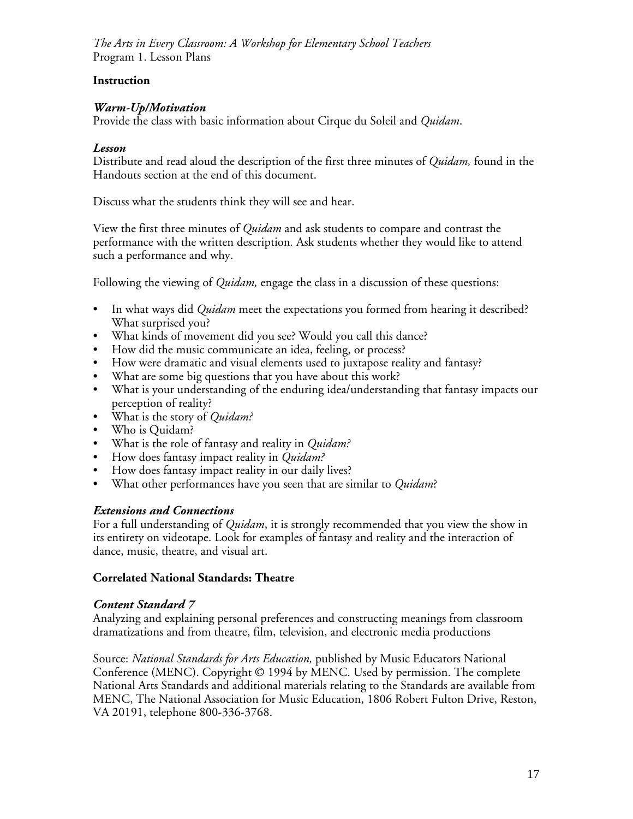#### **Instruction**

#### *Warm-Up/Motivation*

Provide the class with basic information about Cirque du Soleil and *Quidam*.

#### *Lesson*

Distribute and read aloud the description of the first three minutes of *Quidam,* found in the Handouts section at the end of this document.

Discuss what the students think they will see and hear.

View the first three minutes of *Quidam* and ask students to compare and contrast the performance with the written description*.* Ask students whether they would like to attend such a performance and why.

Following the viewing of *Quidam,* engage the class in a discussion of these questions:

- In what ways did *Quidam* meet the expectations you formed from hearing it described? What surprised you?
- What kinds of movement did you see? Would you call this dance?
- How did the music communicate an idea, feeling, or process?
- How were dramatic and visual elements used to juxtapose reality and fantasy?
- What are some big questions that you have about this work?
- What is your understanding of the enduring idea/understanding that fantasy impacts our perception of reality?
- What is the story of *Quidam?*
- Who is Quidam?
- What is the role of fantasy and reality in *Quidam?*
- How does fantasy impact reality in *Quidam?*
- How does fantasy impact reality in our daily lives?
- What other performances have you seen that are similar to *Quidam*?

## *Extensions and Connections*

For a full understanding of *Quidam*, it is strongly recommended that you view the show in its entirety on videotape. Look for examples of fantasy and reality and the interaction of dance, music, theatre, and visual art.

#### **Correlated National Standards: Theatre**

#### *Content Standard 7*

Analyzing and explaining personal preferences and constructing meanings from classroom dramatizations and from theatre, film, television, and electronic media productions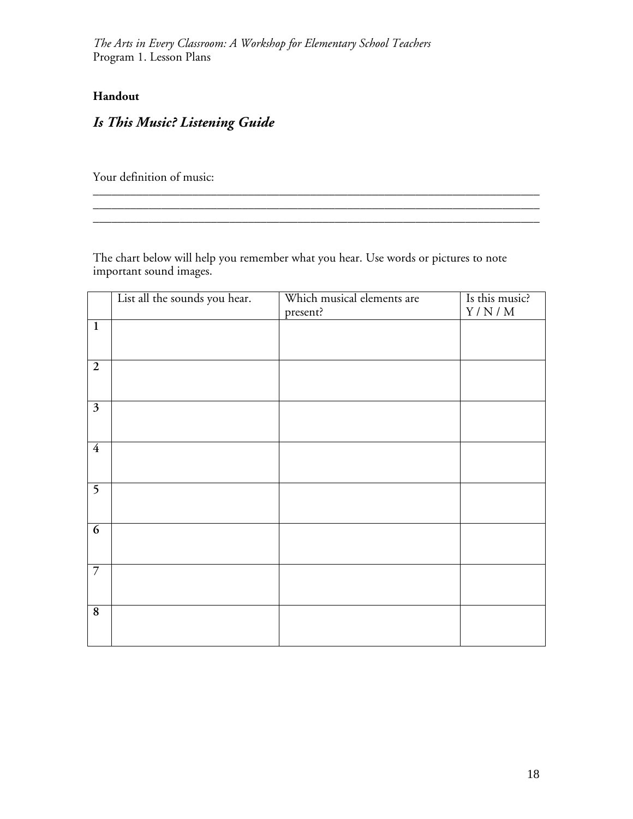## **Handout**

# *Is This Music? Listening Guide*

Your definition of music:

The chart below will help you remember what you hear. Use words or pictures to note important sound images.

\_\_\_\_\_\_\_\_\_\_\_\_\_\_\_\_\_\_\_\_\_\_\_\_\_\_\_\_\_\_\_\_\_\_\_\_\_\_\_\_\_\_\_\_\_\_\_\_\_\_\_\_\_\_\_\_\_\_\_\_\_\_\_\_\_\_\_\_\_\_\_\_

|                         | List all the sounds you hear. | Which musical elements are | Is this music?              |
|-------------------------|-------------------------------|----------------------------|-----------------------------|
|                         |                               | present?                   | $\rm Y$ / $\rm N$ / $\rm M$ |
| $\overline{1}$          |                               |                            |                             |
|                         |                               |                            |                             |
|                         |                               |                            |                             |
| $\overline{2}$          |                               |                            |                             |
|                         |                               |                            |                             |
| $\overline{\mathbf{3}}$ |                               |                            |                             |
|                         |                               |                            |                             |
|                         |                               |                            |                             |
| $\overline{4}$          |                               |                            |                             |
|                         |                               |                            |                             |
|                         |                               |                            |                             |
| $\overline{5}$          |                               |                            |                             |
|                         |                               |                            |                             |
| $\overline{6}$          |                               |                            |                             |
|                         |                               |                            |                             |
|                         |                               |                            |                             |
| $\overline{7}$          |                               |                            |                             |
|                         |                               |                            |                             |
|                         |                               |                            |                             |
| 8                       |                               |                            |                             |
|                         |                               |                            |                             |
|                         |                               |                            |                             |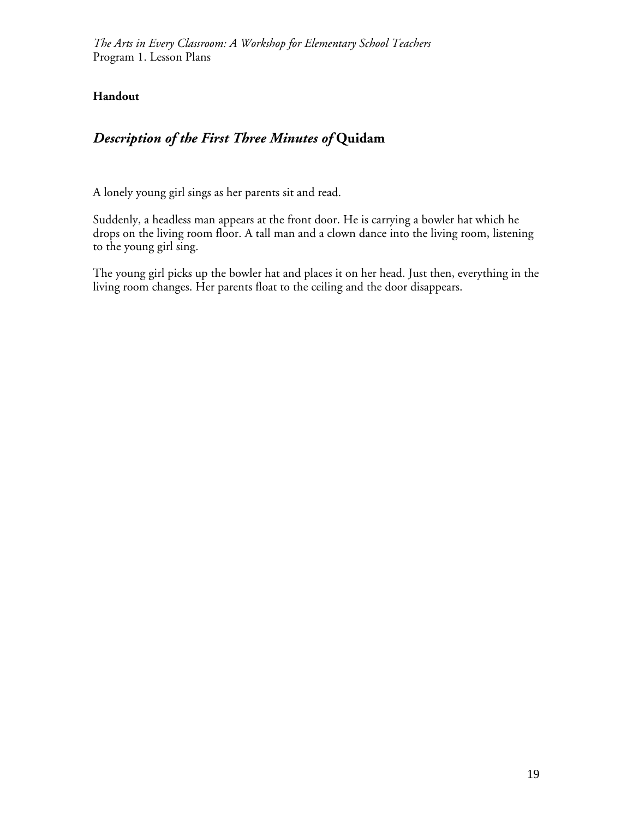## **Handout**

# *Description of the First Three Minutes of* **Quidam**

A lonely young girl sings as her parents sit and read.

Suddenly, a headless man appears at the front door. He is carrying a bowler hat which he drops on the living room floor. A tall man and a clown dance into the living room, listening to the young girl sing.

The young girl picks up the bowler hat and places it on her head. Just then, everything in the living room changes. Her parents float to the ceiling and the door disappears.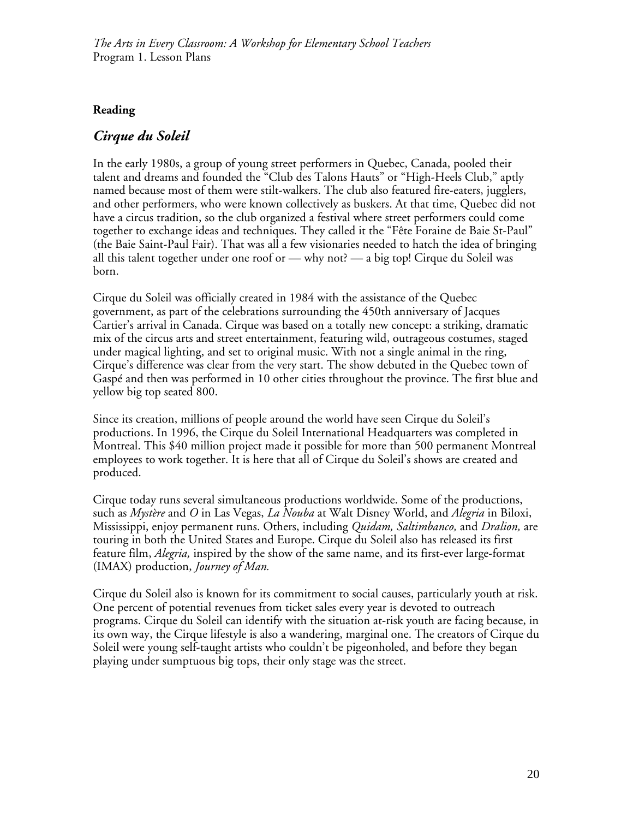## **Reading**

## *Cirque du Soleil*

In the early 1980s, a group of young street performers in Quebec, Canada, pooled their talent and dreams and founded the "Club des Talons Hauts" or "High-Heels Club," aptly named because most of them were stilt-walkers. The club also featured fire-eaters, jugglers, and other performers, who were known collectively as buskers. At that time, Quebec did not have a circus tradition, so the club organized a festival where street performers could come together to exchange ideas and techniques. They called it the "Fête Foraine de Baie St-Paul" (the Baie Saint-Paul Fair). That was all a few visionaries needed to hatch the idea of bringing all this talent together under one roof or — why not? — a big top! Cirque du Soleil was born.

Cirque du Soleil was officially created in 1984 with the assistance of the Quebec government, as part of the celebrations surrounding the 450th anniversary of Jacques Cartier's arrival in Canada. Cirque was based on a totally new concept: a striking, dramatic mix of the circus arts and street entertainment, featuring wild, outrageous costumes, staged under magical lighting, and set to original music. With not a single animal in the ring, Cirque's difference was clear from the very start. The show debuted in the Quebec town of Gaspé and then was performed in 10 other cities throughout the province. The first blue and yellow big top seated 800.

Since its creation, millions of people around the world have seen Cirque du Soleil's productions. In 1996, the Cirque du Soleil International Headquarters was completed in Montreal. This \$40 million project made it possible for more than 500 permanent Montreal employees to work together. It is here that all of Cirque du Soleil's shows are created and produced.

Cirque today runs several simultaneous productions worldwide. Some of the productions, such as *Mystère* and *O* in Las Vegas, *La Nouba* at Walt Disney World, and *Alegria* in Biloxi, Mississippi, enjoy permanent runs. Others, including *Quidam, Saltimbanco,* and *Dralion,* are touring in both the United States and Europe. Cirque du Soleil also has released its first feature film, *Alegria,* inspired by the show of the same name, and its first-ever large-format (IMAX) production, *Journey of Man.*

Cirque du Soleil also is known for its commitment to social causes, particularly youth at risk. One percent of potential revenues from ticket sales every year is devoted to outreach programs. Cirque du Soleil can identify with the situation at-risk youth are facing because, in its own way, the Cirque lifestyle is also a wandering, marginal one. The creators of Cirque du Soleil were young self-taught artists who couldn't be pigeonholed, and before they began playing under sumptuous big tops, their only stage was the street.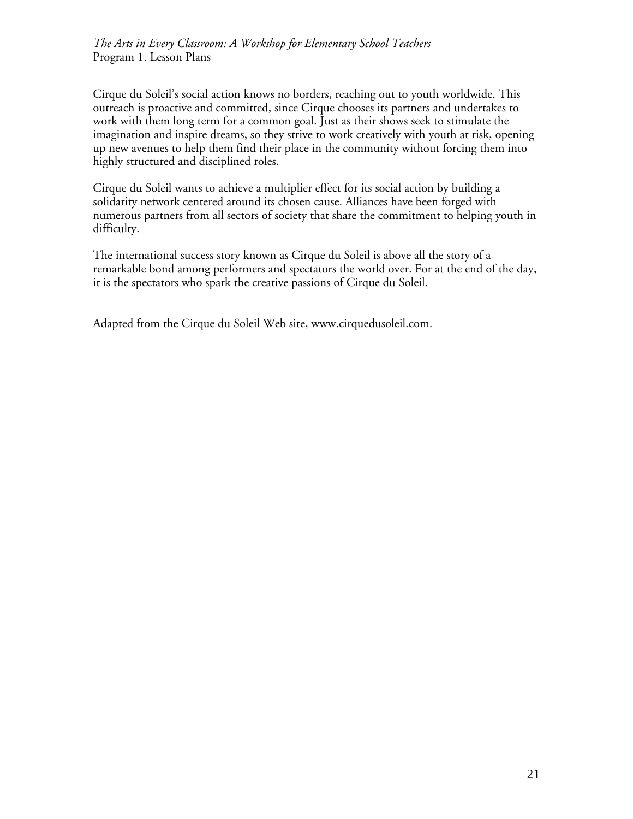Cirque du Soleil's social action knows no borders, reaching out to youth worldwide. This outreach is proactive and committed, since Cirque chooses its partners and undertakes to work with them long term for a common goal. Just as their shows seek to stimulate the imagination and inspire dreams, so they strive to work creatively with youth at risk, opening up new avenues to help them find their place in the community without forcing them into highly structured and disciplined roles.

Cirque du Soleil wants to achieve a multiplier effect for its social action by building a solidarity network centered around its chosen cause. Alliances have been forged with numerous partners from all sectors of society that share the commitment to helping youth in difficulty.

The international success story known as Cirque du Soleil is above all the story of a remarkable bond among performers and spectators the world over. For at the end of the day, it is the spectators who spark the creative passions of Cirque du Soleil.

Adapted from the Cirque du Soleil Web site, www.cirquedusoleil.com.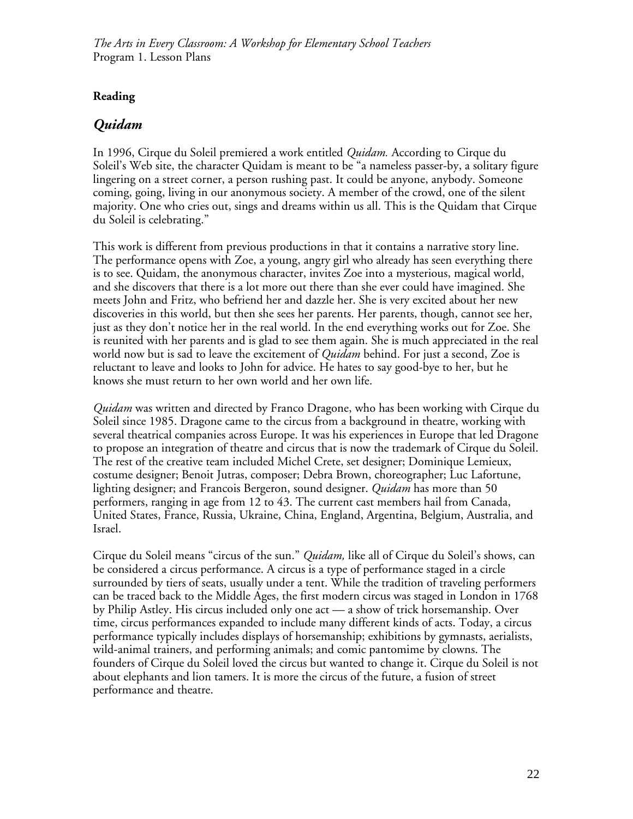## **Reading**

# *Quidam*

In 1996, Cirque du Soleil premiered a work entitled *Quidam.* According to Cirque du Soleil's Web site, the character Quidam is meant to be "a nameless passer-by, a solitary figure lingering on a street corner, a person rushing past. It could be anyone, anybody. Someone coming, going, living in our anonymous society. A member of the crowd, one of the silent majority. One who cries out, sings and dreams within us all. This is the Quidam that Cirque du Soleil is celebrating."

This work is different from previous productions in that it contains a narrative story line. The performance opens with Zoe, a young, angry girl who already has seen everything there is to see. Quidam, the anonymous character, invites Zoe into a mysterious, magical world, and she discovers that there is a lot more out there than she ever could have imagined. She meets John and Fritz, who befriend her and dazzle her. She is very excited about her new discoveries in this world, but then she sees her parents. Her parents, though, cannot see her, just as they don't notice her in the real world. In the end everything works out for Zoe. She is reunited with her parents and is glad to see them again. She is much appreciated in the real world now but is sad to leave the excitement of *Quidam* behind. For just a second, Zoe is reluctant to leave and looks to John for advice. He hates to say good-bye to her, but he knows she must return to her own world and her own life.

*Quidam* was written and directed by Franco Dragone, who has been working with Cirque du Soleil since 1985. Dragone came to the circus from a background in theatre, working with several theatrical companies across Europe. It was his experiences in Europe that led Dragone to propose an integration of theatre and circus that is now the trademark of Cirque du Soleil. The rest of the creative team included Michel Crete, set designer; Dominique Lemieux, costume designer; Benoit Jutras, composer; Debra Brown, choreographer; Luc Lafortune, lighting designer; and Francois Bergeron, sound designer. *Quidam* has more than 50 performers, ranging in age from 12 to 43. The current cast members hail from Canada, United States, France, Russia, Ukraine, China, England, Argentina, Belgium, Australia, and Israel.

Cirque du Soleil means "circus of the sun." *Quidam,* like all of Cirque du Soleil's shows, can be considered a circus performance. A circus is a type of performance staged in a circle surrounded by tiers of seats, usually under a tent. While the tradition of traveling performers can be traced back to the Middle Ages, the first modern circus was staged in London in 1768 by Philip Astley. His circus included only one act — a show of trick horsemanship. Over time, circus performances expanded to include many different kinds of acts. Today, a circus performance typically includes displays of horsemanship; exhibitions by gymnasts, aerialists, wild-animal trainers, and performing animals; and comic pantomime by clowns. The founders of Cirque du Soleil loved the circus but wanted to change it. Cirque du Soleil is not about elephants and lion tamers. It is more the circus of the future, a fusion of street performance and theatre.